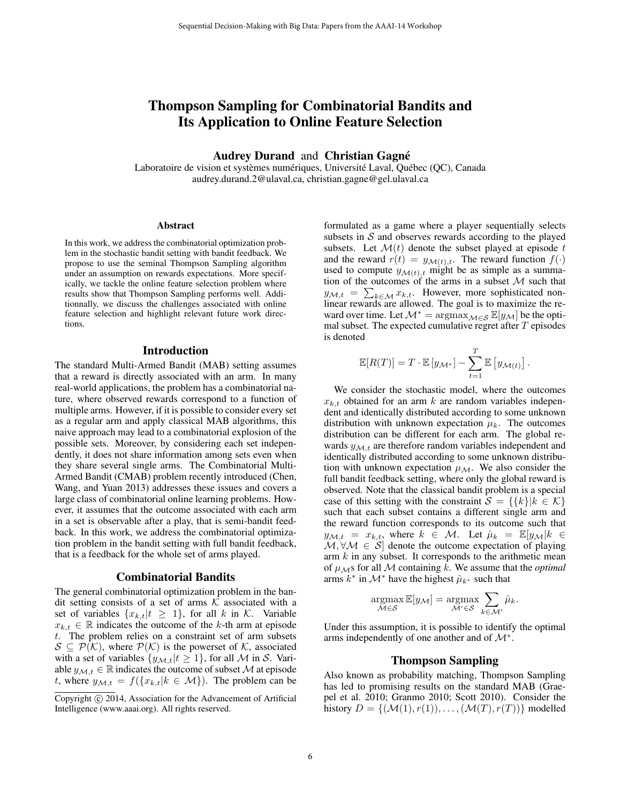# Thompson Sampling for Combinatorial Bandits and Its Application to Online Feature Selection

Audrey Durand and Christian Gagné

Laboratoire de vision et systèmes numériques, Université Laval, Québec (QC), Canada audrey.durand.2@ulaval.ca, christian.gagne@gel.ulaval.ca

#### Abstract

In this work, we address the combinatorial optimization problem in the stochastic bandit setting with bandit feedback. We propose to use the seminal Thompson Sampling algorithm under an assumption on rewards expectations. More specifically, we tackle the online feature selection problem where results show that Thompson Sampling performs well. Additionnally, we discuss the challenges associated with online feature selection and highlight relevant future work directions.

# Introduction

The standard Multi-Armed Bandit (MAB) setting assumes that a reward is directly associated with an arm. In many real-world applications, the problem has a combinatorial nature, where observed rewards correspond to a function of multiple arms. However, if it is possible to consider every set as a regular arm and apply classical MAB algorithms, this naive approach may lead to a combinatorial explosion of the possible sets. Moreover, by considering each set independently, it does not share information among sets even when they share several single arms. The Combinatorial Multi-Armed Bandit (CMAB) problem recently introduced (Chen, Wang, and Yuan 2013) addresses these issues and covers a large class of combinatorial online learning problems. However, it assumes that the outcome associated with each arm in a set is observable after a play, that is semi-bandit feedback. In this work, we address the combinatorial optimization problem in the bandit setting with full bandit feedback, that is a feedback for the whole set of arms played.

### Combinatorial Bandits

The general combinatorial optimization problem in the bandit setting consists of a set of arms  $K$  associated with a set of variables  $\{x_{k,t}|t \geq 1\}$ , for all k in K. Variable  $x_{k,t} \in \mathbb{R}$  indicates the outcome of the k-th arm at episode t. The problem relies on a constraint set of arm subsets  $S \subseteq \mathcal{P}(\mathcal{K})$ , where  $\mathcal{P}(\mathcal{K})$  is the powerset of  $\mathcal{K}$ , associated with a set of variables  $\{y_{\mathcal{M},t}|t\geq 1\}$ , for all M in S. Variable  $y_{\mathcal{M},t} \in \mathbb{R}$  indicates the outcome of subset M at episode t, where  $y_{\mathcal{M},t} = f({x_{k,t}|k \in \mathcal{M}})$ . The problem can be

formulated as a game where a player sequentially selects subsets in  $S$  and observes rewards according to the played subsets. Let  $\mathcal{M}(t)$  denote the subset played at episode t and the reward  $r(t) = y_{\mathcal{M}(t),t}$ . The reward function  $f(\cdot)$ used to compute  $y_{\mathcal{M}(t),t}$  might be as simple as a summation of the outcomes of the arms in a subset  $M$  such that  $y_{\mathcal{M},t} = \sum_{k \in \mathcal{M}} x_{k,t}$ . However, more sophisticated nonlinear rewards are allowed. The goal is to maximize the reward over time. Let  $\mathcal{M}^* = \argmax_{\mathcal{M} \in \mathcal{S}} \mathbb{E}[y_{\mathcal{M}}]$  be the optimal subset. The expected cumulative regret after  $T$  episodes is denoted

$$
\mathbb{E}[R(T)] = T \cdot \mathbb{E}[y_{\mathcal{M}^*}] - \sum_{t=1}^T \mathbb{E}[y_{\mathcal{M}(t)}].
$$

We consider the stochastic model, where the outcomes  $x_{k,t}$  obtained for an arm k are random variables independent and identically distributed according to some unknown distribution with unknown expectation  $\mu_k$ . The outcomes distribution can be different for each arm. The global rewards  $y_{\mathcal{M},t}$  are therefore random variables independent and identically distributed according to some unknown distribution with unknown expectation  $\mu_{\mathcal{M}}$ . We also consider the full bandit feedback setting, where only the global reward is observed. Note that the classical bandit problem is a special case of this setting with the constraint  $S = \{\{k\}|k \in \mathcal{K}\}\$ such that each subset contains a different single arm and the reward function corresponds to its outcome such that  $y_{\mathcal{M},t} = x_{k,t}$ , where  $k \in \mathcal{M}$ . Let  $\hat{\mu}_k = \mathbb{E}[y_{\mathcal{M}}]k \in$  $M, \forall M \in S$  denote the outcome expectation of playing arm  $k$  in any subset. It corresponds to the arithmetic mean of  $\mu_{\mathcal{M}}$ s for all M containing k. We assume that the *optimal* arms  $k^*$  in  $\mathcal{M}^*$  have the highest  $\hat{\mu}_{k^*}$  such that

$$
\underset{\mathcal{M}\in\mathcal{S}}{\operatorname{argmax}} \mathbb{E}[y_{\mathcal{M}}] = \underset{\mathcal{M}'\in\mathcal{S}}{\operatorname{argmax}} \sum_{k\in\mathcal{M}'} \hat{\mu}_k.
$$

Under this assumption, it is possible to identify the optimal arms independently of one another and of  $\mathcal{M}^*$ .

# Thompson Sampling

Also known as probability matching, Thompson Sampling has led to promising results on the standard MAB (Graepel et al. 2010; Granmo 2010; Scott 2010). Consider the history  $D = \{(\mathcal{M}(1), r(1)), \ldots, (\mathcal{M}(T), r(T))\}$  modelled

Copyright (c) 2014, Association for the Advancement of Artificial Intelligence (www.aaai.org). All rights reserved.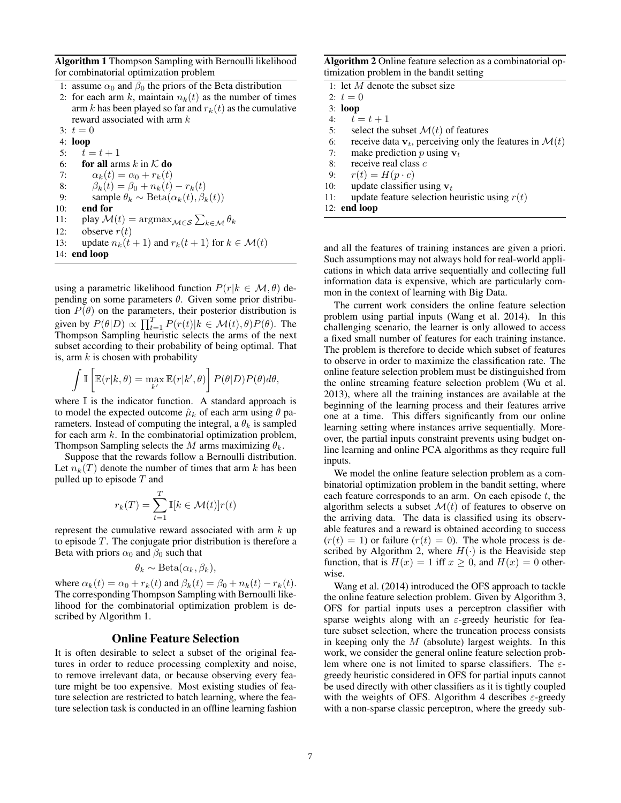Algorithm 1 Thompson Sampling with Bernoulli likelihood for combinatorial optimization problem

- 1: assume  $\alpha_0$  and  $\beta_0$  the priors of the Beta distribution
- 2: for each arm k, maintain  $n_k(t)$  as the number of times arm k has been played so far and  $r_k(t)$  as the cumulative reward associated with arm k
- 3:  $t = 0$

14: end loop

4: loop 5:  $t = t + 1$ 6: for all arms k in  $K$  do 7:  $\alpha_k(t) = \alpha_0 + r_k(t)$ 8:  $\beta_k(t) = \beta_0 + n_k(t) - r_k(t)$ 9: sample  $\theta_k \sim \text{Beta}(\alpha_k(t), \beta_k(t))$ 10: end for 11: play  $\mathcal{M}(t) = \operatorname{argmax}_{\mathcal{M} \in \mathcal{S}} \sum_{k \in \mathcal{M}} \theta_k$ 12: observe  $r(t)$ 13: update  $n_k(t+1)$  and  $r_k(t+1)$  for  $k \in \mathcal{M}(t)$ 

using a parametric likelihood function  $P(r|k \in \mathcal{M}, \theta)$  depending on some parameters  $\theta$ . Given some prior distribution  $P(\theta)$  on the parameters, their posterior distribution is given by  $P(\theta|D) \propto \prod_{t=1}^{T} P(r(t)|k \in \mathcal{M}(t), \theta) P(\theta)$ . The Thompson Sampling heuristic selects the arms of the next subset according to their probability of being optimal. That is, arm  $k$  is chosen with probability

$$
\int \mathbb{I}\left[\mathbb{E}(r|k,\theta) = \max_{k'} \mathbb{E}(r|k',\theta)\right] P(\theta|D) P(\theta) d\theta,
$$

where  $\mathbb I$  is the indicator function. A standard approach is to model the expected outcome  $\hat{\mu}_k$  of each arm using  $\theta$  parameters. Instead of computing the integral, a  $\theta_k$  is sampled for each arm  $k$ . In the combinatorial optimization problem, Thompson Sampling selects the M arms maximizing  $\theta_k$ .

Suppose that the rewards follow a Bernoulli distribution. Let  $n_k(T)$  denote the number of times that arm k has been pulled up to episode  $T$  and

$$
r_k(T) = \sum_{t=1}^T \mathbb{I}[k \in \mathcal{M}(t)]r(t)
$$

represent the cumulative reward associated with arm  $k$  up to episode  $T$ . The conjugate prior distribution is therefore a Beta with priors  $\alpha_0$  and  $\beta_0$  such that

$$
\theta_k \sim \text{Beta}(\alpha_k, \beta_k),
$$

where  $\alpha_k(t) = \alpha_0 + r_k(t)$  and  $\beta_k(t) = \beta_0 + n_k(t) - r_k(t)$ . The corresponding Thompson Sampling with Bernoulli likelihood for the combinatorial optimization problem is described by Algorithm 1.

# Online Feature Selection

It is often desirable to select a subset of the original features in order to reduce processing complexity and noise, to remove irrelevant data, or because observing every feature might be too expensive. Most existing studies of feature selection are restricted to batch learning, where the feature selection task is conducted in an offline learning fashion

Algorithm 2 Online feature selection as a combinatorial optimization problem in the bandit setting

|     | 1: let $M$ denote the subset size                                     |
|-----|-----------------------------------------------------------------------|
|     | 2: $t=0$                                                              |
|     | $3:$ loop                                                             |
|     | 4: $t = t + 1$                                                        |
| 5:  | select the subset $\mathcal{M}(t)$ of features                        |
| 6:  | receive data $v_t$ , perceiving only the features in $\mathcal{M}(t)$ |
| 7:  | make prediction p using $v_t$                                         |
| 8:  | receive real class $c$                                                |
| 9:  | $r(t) = H(p \cdot c)$                                                 |
| 10: | update classifier using $v_t$                                         |
| 11: | update feature selection heuristic using $r(t)$                       |
|     | 12: end loop                                                          |
|     |                                                                       |

and all the features of training instances are given a priori. Such assumptions may not always hold for real-world applications in which data arrive sequentially and collecting full information data is expensive, which are particularly common in the context of learning with Big Data.

The current work considers the online feature selection problem using partial inputs (Wang et al. 2014). In this challenging scenario, the learner is only allowed to access a fixed small number of features for each training instance. The problem is therefore to decide which subset of features to observe in order to maximize the classification rate. The online feature selection problem must be distinguished from the online streaming feature selection problem (Wu et al. 2013), where all the training instances are available at the beginning of the learning process and their features arrive one at a time. This differs significantly from our online learning setting where instances arrive sequentially. Moreover, the partial inputs constraint prevents using budget online learning and online PCA algorithms as they require full inputs.

We model the online feature selection problem as a combinatorial optimization problem in the bandit setting, where each feature corresponds to an arm. On each episode  $t$ , the algorithm selects a subset  $\mathcal{M}(t)$  of features to observe on the arriving data. The data is classified using its observable features and a reward is obtained according to success  $(r(t) = 1)$  or failure  $(r(t) = 0)$ . The whole process is described by Algorithm 2, where  $H(\cdot)$  is the Heaviside step function, that is  $H(x) = 1$  iff  $x \ge 0$ , and  $H(x) = 0$  otherwise.

Wang et al. (2014) introduced the OFS approach to tackle the online feature selection problem. Given by Algorithm 3, OFS for partial inputs uses a perceptron classifier with sparse weights along with an  $\varepsilon$ -greedy heuristic for feature subset selection, where the truncation process consists in keeping only the  $M$  (absolute) largest weights. In this work, we consider the general online feature selection problem where one is not limited to sparse classifiers. The  $\varepsilon$ greedy heuristic considered in OFS for partial inputs cannot be used directly with other classifiers as it is tightly coupled with the weights of OFS. Algorithm 4 describes  $\varepsilon$ -greedy with a non-sparse classic perceptron, where the greedy sub-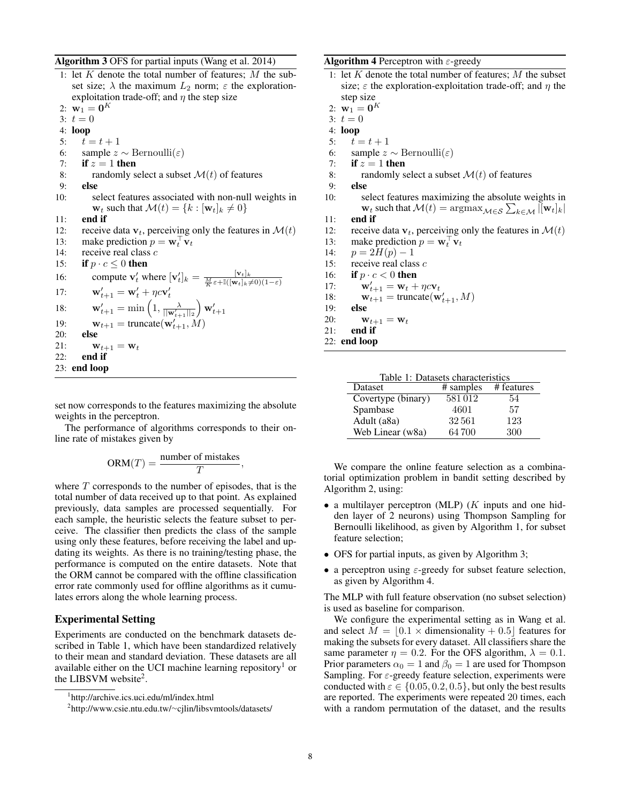#### Algorithm 3 OFS for partial inputs (Wang et al. 2014)

- 1: let  $K$  denote the total number of features;  $M$  the subset size;  $\lambda$  the maximum  $L_2$  norm;  $\varepsilon$  the explorationexploitation trade-off; and  $\eta$  the step size 2:  $\mathbf{w}_1 = \mathbf{0}^K$
- 3:  $t = 0$
- 4: loop
- 5:  $t = t + 1$
- 6: sample  $z \sim \text{Bernoulli}(\varepsilon)$
- 7: if  $z = 1$  then
- 8: randomly select a subset  $\mathcal{M}(t)$  of features
- 9: else
- 10: select features associated with non-null weights in  $\mathbf{w}_t$  such that  $\mathcal{M}(t) = \{k : [\mathbf{w}_t]_k \neq 0\}$
- 11: end if
- 12: receive data  $v_t$ , perceiving only the features in  $\mathcal{M}(t)$
- 13: make prediction  $p = \mathbf{w}_t^\top \mathbf{v}_t$
- 14: receive real class  $c$
- 15: if  $p \cdot c \leq 0$  then
- 16: compute  $\mathbf{v}'_t$  where  $[\mathbf{v}'_t]_k = \frac{[\mathbf{v}_t]_k}{\frac{M}{K}\varepsilon + \mathbb{I}([\mathbf{w}_t]_k \neq 0)(1-\varepsilon)}$ 17:  $\mathbf{w}'_{t+1} = \mathbf{w}'_t + \eta c \mathbf{v}'_t$ 18:  $\mathbf{w}'_{t+1} = \min\left(1, \frac{\lambda}{||\mathbf{w}'_{t+1}||_2}\right)$  $\Big) \, \mathbf{w}'_{t+1}$ 19:  $\mathbf{w}_{t+1} = \text{truncated}(\mathbf{w}'_{t+1}, \hat{M})$ 20: else 21:  $\mathbf{w}_{t+1} = \mathbf{w}_t$ <br>22: **end if** end if 23: end loop

set now corresponds to the features maximizing the absolute weights in the perceptron.

The performance of algorithms corresponds to their online rate of mistakes given by

$$
ORM(T) = \frac{number\ of\ mistakes}{T},
$$

where  $T$  corresponds to the number of episodes, that is the total number of data received up to that point. As explained previously, data samples are processed sequentially. For each sample, the heuristic selects the feature subset to perceive. The classifier then predicts the class of the sample using only these features, before receiving the label and updating its weights. As there is no training/testing phase, the performance is computed on the entire datasets. Note that the ORM cannot be compared with the offline classification error rate commonly used for offline algorithms as it cumulates errors along the whole learning process.

# Experimental Setting

Experiments are conducted on the benchmark datasets described in Table 1, which have been standardized relatively to their mean and standard deviation. These datasets are all available either on the UCI machine learning repository<sup>1</sup> or the LIBSVM website<sup>2</sup>.

**Algorithm 4** Perceptron with  $\varepsilon$ -greedy

- 1: let  $K$  denote the total number of features;  $M$  the subset size;  $\varepsilon$  the exploration-exploitation trade-off; and  $\eta$  the step size
- 2:  $\mathbf{w}_1 = \mathbf{0}^K$
- 3:  $t = 0$
- 4: loop
- 5:  $t = t + 1$
- 6: sample  $z \sim \text{Bernoulli}(\varepsilon)$
- 7: if  $z = 1$  then
- 8: randomly select a subset  $\mathcal{M}(t)$  of features
- 9: else
- 10: select features maximizing the absolute weights in  $\mathbf{w}_t$  such that  $\mathcal{M}(t) = \arg\max_{\mathcal{M} \in \mathcal{S}} \sum_{k \in \mathcal{M}} |[\mathbf{w}_t]_k|$
- 11: end if
- 12: receive data  $\mathbf{v}_t$ , perceiving only the features in  $\mathcal{M}(t)$ <br>13: make prediction  $p = \mathbf{w}_t^T \mathbf{v}_t$
- 13: make prediction  $p = \mathbf{w}_t^\top \mathbf{v}_t$
- 14:  $p = 2H(p) 1$
- 15: receive real class  $c$
- 16: if  $p \cdot c < 0$  then
- 17:  $\mathbf{w}'_{t+1} = \mathbf{w}_t + \eta c \mathbf{v}_t$
- 18:  $\mathbf{w}_{t+1}^{\text{max}} = \text{truncated}(\mathbf{w}_{t+1}^{\text{max}}, M)$
- 19: else
- 20:  $\mathbf{w}_{t+1} = \mathbf{w}_t$
- $21:$  end if
- 22: end loop

| Table 1: Datasets characteristics |        |                      |  |
|-----------------------------------|--------|----------------------|--|
| Dataset                           |        | # samples # features |  |
| Covertype (binary)                | 581012 | 54                   |  |
| Spambase                          | 4601   | 57                   |  |
| Adult (a8a)                       | 32561  | 123                  |  |
| Web Linear (w8a)                  | 64700  | 300                  |  |

We compare the online feature selection as a combinatorial optimization problem in bandit setting described by Algorithm 2, using:

- a multilayer perceptron (MLP)  $(K$  inputs and one hidden layer of 2 neurons) using Thompson Sampling for Bernoulli likelihood, as given by Algorithm 1, for subset feature selection;
- OFS for partial inputs, as given by Algorithm 3;
- a perceptron using  $\varepsilon$ -greedy for subset feature selection, as given by Algorithm 4.

The MLP with full feature observation (no subset selection) is used as baseline for comparison.

We configure the experimental setting as in Wang et al. and select  $M = \vert 0.1 \times$  dimensionality + 0.5 features for making the subsets for every dataset. All classifiers share the same parameter  $\eta = 0.2$ . For the OFS algorithm,  $\lambda = 0.1$ . Prior parameters  $\alpha_0 = 1$  and  $\beta_0 = 1$  are used for Thompson Sampling. For  $\varepsilon$ -greedy feature selection, experiments were conducted with  $\varepsilon \in \{0.05, 0.2, 0.5\}$ , but only the best results are reported. The experiments were repeated 20 times, each with a random permutation of the dataset, and the results

<sup>1</sup> http://archive.ics.uci.edu/ml/index.html

<sup>2</sup> http://www.csie.ntu.edu.tw/∼cjlin/libsvmtools/datasets/